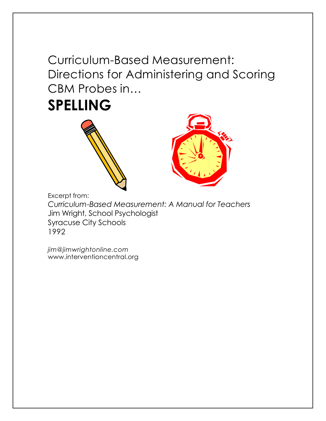Curriculum-Based Measurement: Directions for Administering and Scoring CBM Probes in…

**SPELLING**





Excerpt from:

*Curriculum-Based Measurement: A Manual for Teachers* Jim Wright, School Psychologist Syracuse City Schools 1992

*jim@jimwrightonline.com* www.interventioncentral.org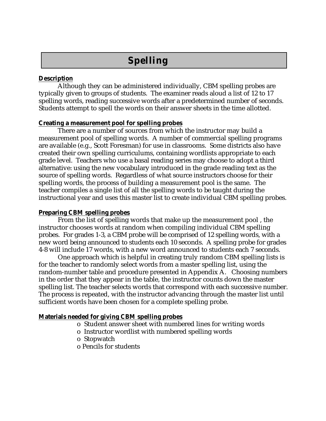# **Spelling**

## **Description**

Although they can be administered individually, CBM spelling probes are typically given to groups of students. The examiner reads aloud a list of 12 to 17 spelling words, reading successive words after a predetermined number of seconds. Students attempt to spell the words on their answer sheets in the time allotted.

#### **Creating a measurement pool for spelling probes**

There are a number of sources from which the instructor may build a measurement pool of spelling words. A number of commercial spelling programs are available (e.g., Scott Foresman) for use in classrooms. Some districts also have created their own spelling curriculums, containing wordlists appropriate to each grade level. Teachers who use a basal reading series may choose to adopt a third alternative: using the new vocabulary introduced in the grade reading text as the source of spelling words. Regardless of what source instructors choose for their spelling words, the process of building a measurement pool is the same. The teacher compiles a single list of all the spelling words to be taught during the instructional year and uses this master list to create individual CBM spelling probes.

### **Preparing CBM spelling probes**

From the list of spelling words that make up the measurement pool , the instructor chooses words at random when compiling individual CBM spelling probes. For grades 1-3, a CBM probe will be comprised of 12 spelling words, with a new word being announced to students each 10 seconds. A spelling probe for grades 4-8 will include 17 words, with a new word announced to students each 7 seconds.

One approach which is helpful in creating truly random CBM spelling lists is for the teacher to randomly select words from a master spelling list, using the random-number table and procedure presented in Appendix A. Choosing numbers in the order that they appear in the table, the instructor counts down the master spelling list. The teacher selects words that correspond with each successive number. The process is repeated, with the instructor advancing through the master list until sufficient words have been chosen for a complete spelling probe.

# **Materials needed for giving CBM spelling probes**

- o Student answer sheet with numbered lines for writing words
- o Instructor wordlist with numbered spelling words
- o Stopwatch
- o Pencils for students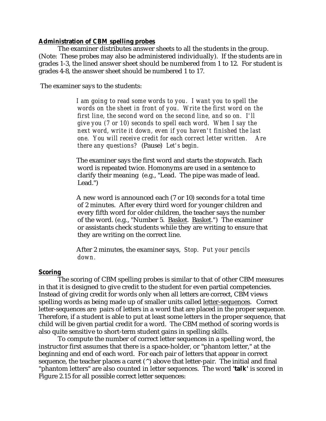#### **Administration of CBM spelling probes**

The examiner distributes answer sheets to all the students in the group. (Note: These probes may also be administered individually). If the students are in grades 1-3, the lined answer sheet should be numbered from 1 to 12. For student is grades 4-8, the answer sheet should be numbered 1 to 17.

The examiner says to the students:

*I am going to read some words to you. I want you to spell the words on the sheet in front of you. Write the first word on the first line, the second word on the second line, and so on. I'll give you (7 or 10) seconds to spell each word. When I say the next word, write it down, even if you haven't finished the last one. You will receive credit for each correct letter written. Are there any questions?* (Pause) *Let's begin.*

The examiner says the first word and starts the stopwatch. Each word is repeated twice. Homonyms are used in a sentence to clarify their meaning (e.g., "Lead. The pipe was made of lead. Lead.")

A new word is announced each (7 or 10) seconds for a total time of 2 minutes. After every third word for younger children and every fifth word for older children, the teacher says the number of the word. (e.g., "Number 5. Basket. Basket.") The examiner or assistants check students while they are writing to ensure that they are writing on the correct line.

After 2 minutes, the examiner says, *Stop. Put your pencils down.*

#### **Scoring**

The scoring of CBM spelling probes is similar to that of other CBM measures in that it is designed to give credit to the student for even partial competencies. Instead of giving credit for words only when all letters are correct, CBM views spelling words as being made up of smaller units called letter-sequences. Correct letter-sequences are pairs of letters in a word that are placed in the proper sequence. Therefore, if a student is able to put at least some letters in the proper sequence, that child will be given partial credit for a word. The CBM method of scoring words is also quite sensitive to short-term student gains in spelling skills.

To compute the number of correct letter sequences in a spelling word, the instructor first assumes that there is a space-holder, or "phantom letter," at the beginning and end of each word. For each pair of letters that appear in correct sequence, the teacher places a caret  $(^\wedge)$  above that letter-pair. The initial and final "phantom letters" are also counted in letter sequences. The word **'talk'** is scored in Figure 2.15 for all possible correct letter sequences: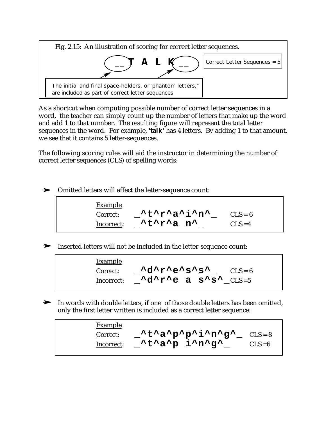

As a shortcut when computing possible number of correct letter sequences in a word, the teacher can simply count up the number of letters that make up the word and add 1 to that number. The resulting figure will represent the total letter sequences in the word. For example, **'talk'** has 4 letters. By adding 1 to that amount, we see that it contains 5 letter-sequences.

The following scoring rules will aid the instructor in determining the number of correct letter sequences (CLS) of spelling words:

# $\rightarrow$  Omitted letters will affect the letter-sequence count:

| <b>Example</b> |                                                                   |            |
|----------------|-------------------------------------------------------------------|------------|
| Correct:       | $\lambda t \lambda r \lambda a \lambda i \lambda n \lambda$       | $CLS = 6$  |
| Incorrect:     | $\lambda t \lambda r \lambda a$ n <sup><math>\lambda</math></sup> | $CI.S = 4$ |

Inserted letters will not be included in the letter-sequence count:

| <b>Example</b> |                                                                                                                                                                                                                                                                                                                                                                                                       |           |
|----------------|-------------------------------------------------------------------------------------------------------------------------------------------------------------------------------------------------------------------------------------------------------------------------------------------------------------------------------------------------------------------------------------------------------|-----------|
| Correct:       | Adaraeasasa                                                                                                                                                                                                                                                                                                                                                                                           | $CLS = 6$ |
| Incorrect:     | $\mathbf{A} \cdot \mathbf{C}$ $\mathbf{A} \cdot \mathbf{C}$ $\mathbf{A} \cdot \mathbf{C}$ $\mathbf{A} \cdot \mathbf{C}$ $\mathbf{A} \cdot \mathbf{C}$ $\mathbf{A} \cdot \mathbf{C}$ $\mathbf{A} \cdot \mathbf{C}$ $\mathbf{A} \cdot \mathbf{C}$ $\mathbf{A} \cdot \mathbf{C}$ $\mathbf{A} \cdot \mathbf{C}$ $\mathbf{A} \cdot \mathbf{C}$ $\mathbf{A} \cdot \mathbf{C}$ $\mathbf{A} \cdot \mathbf{C}$ |           |

 $\blacktriangleright$  In words with double letters, if one of those double letters has been omitted, only the first letter written is included as a correct letter sequence:

| <b>Example</b> |                                                                                           |  |
|----------------|-------------------------------------------------------------------------------------------|--|
| Correct:       | $\lambda t \lambda a \lambda p \lambda p \lambda i \lambda n \lambda g \lambda$ $CLS = 8$ |  |
| Incorrect:     | ^t^a^p i^n^g^<br>$CLS = 6$                                                                |  |